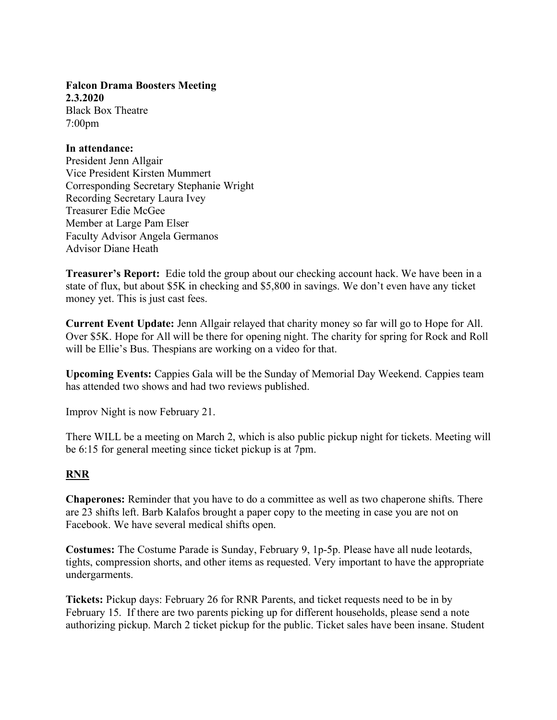Falcon Drama Boosters Meeting 2.3.2020 Black Box Theatre 7:00pm

## In attendance:

President Jenn Allgair Vice President Kirsten Mummert Corresponding Secretary Stephanie Wright Recording Secretary Laura Ivey Treasurer Edie McGee Member at Large Pam Elser Faculty Advisor Angela Germanos Advisor Diane Heath

Treasurer's Report: Edie told the group about our checking account hack. We have been in a state of flux, but about \$5K in checking and \$5,800 in savings. We don't even have any ticket money yet. This is just cast fees.

Current Event Update: Jenn Allgair relayed that charity money so far will go to Hope for All. Over \$5K. Hope for All will be there for opening night. The charity for spring for Rock and Roll will be Ellie's Bus. Thespians are working on a video for that.

Upcoming Events: Cappies Gala will be the Sunday of Memorial Day Weekend. Cappies team has attended two shows and had two reviews published.

Improv Night is now February 21.

There WILL be a meeting on March 2, which is also public pickup night for tickets. Meeting will be 6:15 for general meeting since ticket pickup is at 7pm.

## RNR

Chaperones: Reminder that you have to do a committee as well as two chaperone shifts. There are 23 shifts left. Barb Kalafos brought a paper copy to the meeting in case you are not on Facebook. We have several medical shifts open.

Costumes: The Costume Parade is Sunday, February 9, 1p-5p. Please have all nude leotards, tights, compression shorts, and other items as requested. Very important to have the appropriate undergarments.

Tickets: Pickup days: February 26 for RNR Parents, and ticket requests need to be in by February 15. If there are two parents picking up for different households, please send a note authorizing pickup. March 2 ticket pickup for the public. Ticket sales have been insane. Student